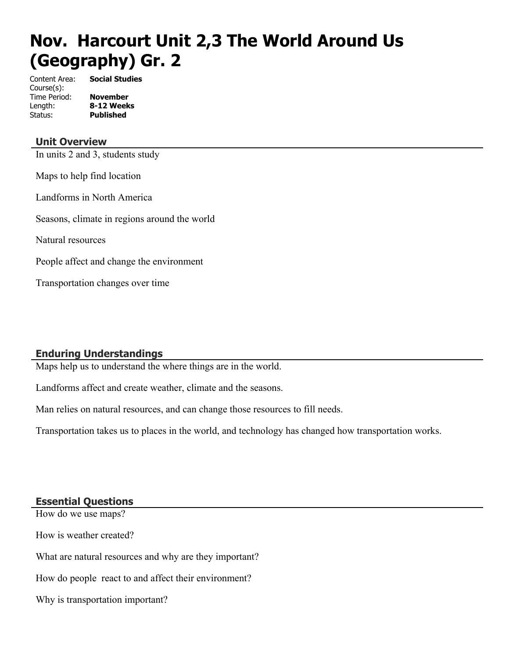# **Nov. Harcourt Unit 2,3 The World Around Us (Geography) Gr. 2**

Content Area: **Social Studies** Course(s): Time Period: **November** Status: **Published**

Length: **8-12 Weeks**

#### **Unit Overview**

In units 2 and 3, students study

Maps to help find location

Landforms in North America

Seasons, climate in regions around the world

Natural resources

People affect and change the environment

Transportation changes over time

#### **Enduring Understandings**

Maps help us to understand the where things are in the world.

Landforms affect and create weather, climate and the seasons.

Man relies on natural resources, and can change those resources to fill needs.

Transportation takes us to places in the world, and technology has changed how transportation works.

#### **Essential Questions**

How do we use maps? How is weather created? What are natural resources and why are they important? How do people react to and affect their environment? Why is transportation important?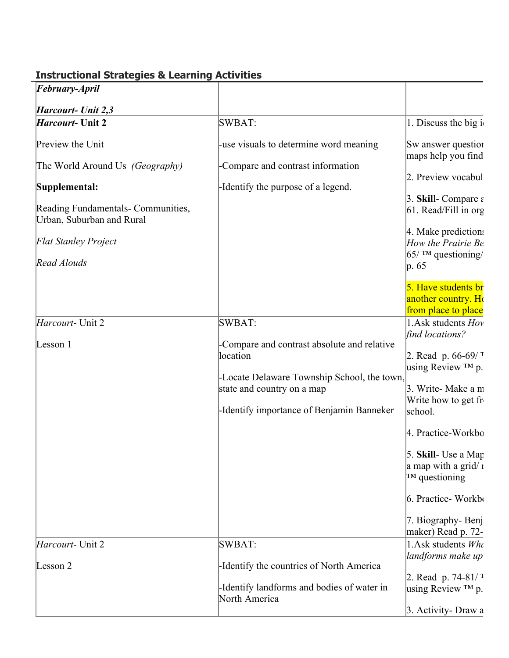| February-April                                                  |                                                                                                                                                                                   |                                                                                                                                                                                                                                                                      |
|-----------------------------------------------------------------|-----------------------------------------------------------------------------------------------------------------------------------------------------------------------------------|----------------------------------------------------------------------------------------------------------------------------------------------------------------------------------------------------------------------------------------------------------------------|
| Harcourt- Unit 2,3                                              |                                                                                                                                                                                   |                                                                                                                                                                                                                                                                      |
| <i>Harcourt</i> - Unit 2                                        | SWBAT:                                                                                                                                                                            | 1. Discuss the big i                                                                                                                                                                                                                                                 |
| Preview the Unit                                                | -use visuals to determine word meaning                                                                                                                                            | Sw answer question<br>maps help you find                                                                                                                                                                                                                             |
| The World Around Us (Geography)                                 | -Compare and contrast information                                                                                                                                                 | 2. Preview vocabul                                                                                                                                                                                                                                                   |
| Supplemental:                                                   | -Identify the purpose of a legend.                                                                                                                                                |                                                                                                                                                                                                                                                                      |
| Reading Fundamentals- Communities,<br>Urban, Suburban and Rural |                                                                                                                                                                                   | 3. Skill-Compare $\varepsilon$<br>$61. Read/Fill$ in org                                                                                                                                                                                                             |
| <b>Flat Stanley Project</b>                                     |                                                                                                                                                                                   | 4. Make predictions<br>How the Prairie Be                                                                                                                                                                                                                            |
| Read Alouds                                                     |                                                                                                                                                                                   | $65/$ TM questioning/<br>$ p.65\rangle$                                                                                                                                                                                                                              |
|                                                                 |                                                                                                                                                                                   | 5. Have students br<br>another country. Ho<br>from place to place                                                                                                                                                                                                    |
| Harcourt- Unit 2                                                | SWBAT:                                                                                                                                                                            | 1. Ask students Hov<br>find locations?                                                                                                                                                                                                                               |
| Lesson 1                                                        | -Compare and contrast absolute and relative<br>location<br>-Locate Delaware Township School, the town,<br>state and country on a map<br>-Identify importance of Benjamin Banneker | 2. Read p. $66-69/7$<br>using Review $TM$ p.<br>3. Write-Make a m<br>Write how to get fr<br>school.<br>4. Practice-Workbo<br>5. Skill- Use a Map<br>a map with a grid/ $\alpha$<br>$TM$ questioning<br>6. Practice-Workbo<br>7. Biography-Benj<br>maker) Read p. 72- |
| Harcourt- Unit 2                                                | SWBAT:                                                                                                                                                                            | 1.Ask students Who                                                                                                                                                                                                                                                   |
| Lesson 2                                                        | -Identify the countries of North America                                                                                                                                          | landforms make up<br>2. Read p. $74-81/7$                                                                                                                                                                                                                            |
|                                                                 | -Identify landforms and bodies of water in<br>North America                                                                                                                       | using Review $TM$ p.                                                                                                                                                                                                                                                 |
|                                                                 |                                                                                                                                                                                   | 3. Activity- Draw a                                                                                                                                                                                                                                                  |

### **Instructional Strategies & Learning Activities**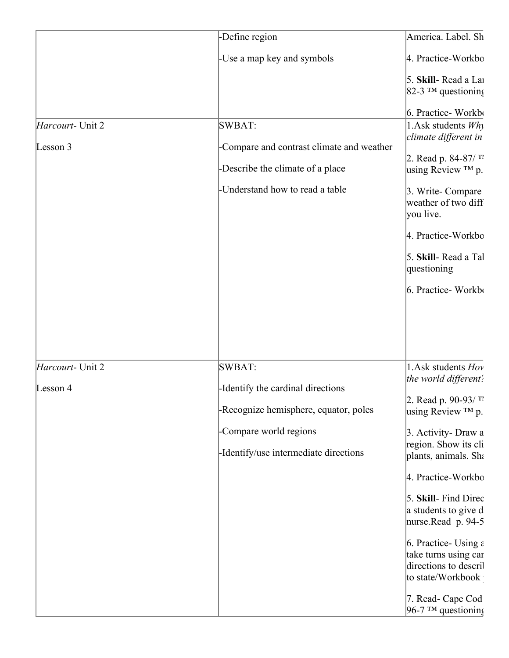|                  | -Define region                            | America. Label. Sh                           |
|------------------|-------------------------------------------|----------------------------------------------|
|                  | -Use a map key and symbols                | 4. Practice-Workbo                           |
|                  |                                           | 5. Skill-Read a Lar<br>$ 82-3$ ™ questioning |
|                  |                                           | 6. Practice-Workbo                           |
| Harcourt- Unit 2 | SWBAT:                                    | 1. Ask students $Wh_1$                       |
| Lesson 3         | -Compare and contrast climate and weather | climate different in                         |
|                  |                                           | 2. Read p. 84-87/ $^{\text{T}}$ 1            |
|                  | -Describe the climate of a place          | using Review ™ p.                            |
|                  | -Understand how to read a table           | 3. Write-Compare                             |
|                  |                                           | weather of two diff<br>you live.             |
|                  |                                           |                                              |
|                  |                                           | 4. Practice-Workbo                           |
|                  |                                           | 5. Skill-Read a Tal<br>questioning           |
|                  |                                           | 6. Practice-Workbo                           |
| Harcourt- Unit 2 | SWBAT:                                    | 1. Ask students Hov                          |
| Lesson 4         | -Identify the cardinal directions         | the world different:                         |
|                  | -Recognize hemisphere, equator, poles     | 2. Read p. 90-93/TI<br>using Review $TM$ p.  |
|                  |                                           |                                              |
|                  | -Compare world regions                    | 3. Activity- Draw a                          |
|                  | -Identify/use intermediate directions     | region. Show its cli<br>plants, animals. Sha |
|                  |                                           | 4. Practice-Workbo                           |
|                  |                                           | 5. Skill- Find Direc                         |
|                  |                                           | a students to give d                         |
|                  |                                           | nurse.Read p. 94-5                           |
|                  |                                           | 6. Practice- Using $\varepsilon$             |
|                  |                                           | take turns using car                         |
|                  |                                           | directions to descril<br>to state/Workbook   |
|                  |                                           | 7. Read- Cape Cod<br>96-7 TM questioning     |
|                  |                                           |                                              |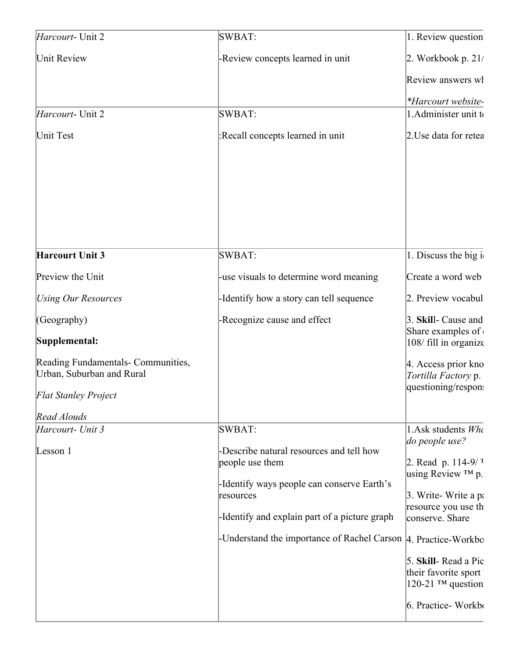| Harcourt- Unit 2                                                | SWBAT:                                                                                                    | 1. Review question                                |
|-----------------------------------------------------------------|-----------------------------------------------------------------------------------------------------------|---------------------------------------------------|
| Unit Review                                                     | -Review concepts learned in unit                                                                          | $2.$ Workbook p. 21/                              |
|                                                                 |                                                                                                           | Review answers wl                                 |
|                                                                 |                                                                                                           | *Harcourt website-                                |
| Harcourt- Unit 2                                                | <b>SWBAT:</b>                                                                                             | 1. Administer unit to                             |
| Unit Test                                                       | :Recall concepts learned in unit                                                                          | 2. Use data for retea                             |
|                                                                 |                                                                                                           |                                                   |
| <b>Harcourt Unit 3</b>                                          | <b>SWBAT:</b>                                                                                             | 1. Discuss the big i                              |
| Preview the Unit                                                | -use visuals to determine word meaning                                                                    | Create a word web                                 |
| <b>Using Our Resources</b>                                      | -Identify how a story can tell sequence                                                                   | 2. Preview vocabul                                |
| (Geography)                                                     | -Recognize cause and effect                                                                               | 3. Skill- Cause and                               |
| Supplemental:                                                   |                                                                                                           | Share examples of<br>108/ fill in organize        |
| Reading Fundamentals- Communities,<br>Urban, Suburban and Rural |                                                                                                           | 4. Access prior kno<br><i>Tortilla Factory p.</i> |
| <b>Flat Stanley Project</b>                                     |                                                                                                           | questioning/respon:                               |
| Read Alouds                                                     |                                                                                                           |                                                   |
| Harcourt- Unit 3                                                | <b>SWBAT:</b>                                                                                             | 1. Ask students $Wh$<br>do people use?            |
| Lesson 1                                                        | -Describe natural resources and tell how<br>people use them<br>-Identify ways people can conserve Earth's | 2. Read p. $114-9/7$<br>using Review $TM$ p.      |
|                                                                 | resources                                                                                                 | 3. Write-Write a pa<br>resource you use th        |
|                                                                 | -Identify and explain part of a picture graph                                                             | conserve. Share                                   |
|                                                                 | -Understand the importance of Rachel Carson  4. Practice-Workbo                                           |                                                   |
|                                                                 |                                                                                                           | 5. Skill-Read a Pic<br>their favorite sport       |
|                                                                 |                                                                                                           | $120-21$ TM question<br>6. Practice-Workbo        |
|                                                                 |                                                                                                           |                                                   |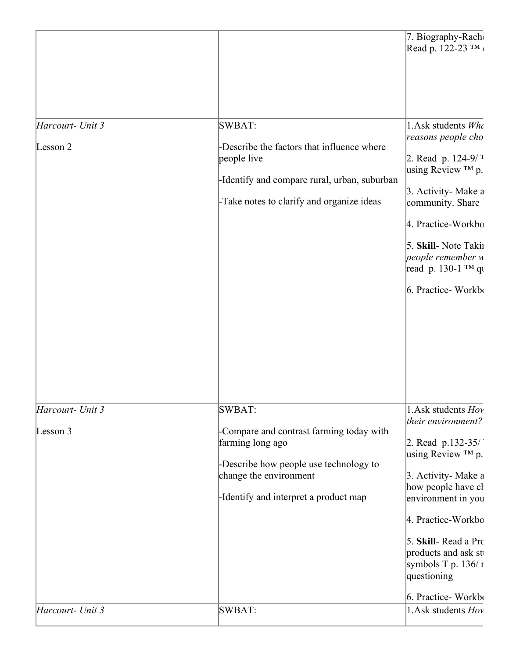|                              |                                                                                                                                                                                     | 7. Biography-Rach<br>Read p. 122-23 TM                                                                                                                                                                                                                                                     |
|------------------------------|-------------------------------------------------------------------------------------------------------------------------------------------------------------------------------------|--------------------------------------------------------------------------------------------------------------------------------------------------------------------------------------------------------------------------------------------------------------------------------------------|
| Harcourt- Unit 3<br>Lesson 2 | SWBAT:<br>-Describe the factors that influence where<br>people live<br>-Identify and compare rural, urban, suburban<br>-Take notes to clarify and organize ideas                    | 1.Ask students Who<br>reasons people cho<br>2. Read p. $124-9/7$<br>using Review ™ p.<br>3. Activity-Make a<br>community. Share<br>4. Practice-Workbo<br>5. Skill- Note Takin<br>people remember u<br>read p. 130-1 ™ qu<br>6. Practice-Workbo                                             |
| Harcourt- Unit 3<br>Lesson 3 | SWBAT:<br>-Compare and contrast farming today with<br>farming long ago<br>-Describe how people use technology to<br>change the environment<br>-Identify and interpret a product map | 1. Ask students Hov<br>their environment?<br>2. Read $p.132-35/$<br>using Review ™ p.<br>3. Activity- Make a<br>how people have cl<br>environment in you<br>4. Practice-Workbo<br>5. Skill- Read a Pro<br>products and ask st<br>symbols T p. $136/r$<br>questioning<br>6. Practice-Workbo |
| Harcourt- Unit 3             | SWBAT:                                                                                                                                                                              | 1. Ask students Hov                                                                                                                                                                                                                                                                        |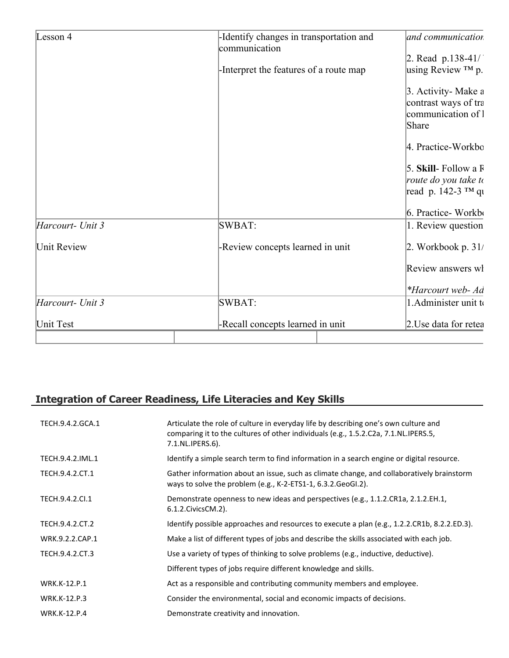| Lesson 4         | -Identify changes in transportation and | and communication     |
|------------------|-----------------------------------------|-----------------------|
|                  | communication                           |                       |
|                  |                                         | 2. Read $p.138-41/$   |
|                  | -Interpret the features of a route map  | using Review $TM$ p.  |
|                  |                                         | 3. Activity-Make a    |
|                  |                                         | contrast ways of tra  |
|                  |                                         | communication of 1    |
|                  |                                         | Share                 |
|                  |                                         | 4. Practice-Workbo    |
|                  |                                         | 5. Skill-Follow a F   |
|                  |                                         | route do you take to  |
|                  |                                         | read p. 142-3 ™ qu    |
|                  |                                         | 6. Practice-Workbo    |
| Harcourt- Unit 3 | SWBAT:                                  | 1. Review question    |
| Unit Review      | -Review concepts learned in unit        | 2. Workbook p. $31/$  |
|                  |                                         | Review answers wl     |
|                  |                                         | *Harcourt web- Ad     |
| Harcourt- Unit 3 | SWBAT:                                  | 1. Administer unit to |
| Unit Test        | -Recall concepts learned in unit        | 2. Use data for retea |

# **Integration of Career Readiness, Life Literacies and Key Skills**

| TECH.9.4.2.GCA.1    | Articulate the role of culture in everyday life by describing one's own culture and<br>comparing it to the cultures of other individuals (e.g., 1.5.2.C2a, 7.1.NL.IPERS.5,<br>7.1.NL.IPERS.6). |
|---------------------|------------------------------------------------------------------------------------------------------------------------------------------------------------------------------------------------|
| TECH.9.4.2.IML.1    | Identify a simple search term to find information in a search engine or digital resource.                                                                                                      |
| TECH.9.4.2.CT.1     | Gather information about an issue, such as climate change, and collaboratively brainstorm<br>ways to solve the problem (e.g., K-2-ETS1-1, 6.3.2. GeoGI.2).                                     |
| TECH.9.4.2.CI.1     | Demonstrate openness to new ideas and perspectives (e.g., 1.1.2.CR1a, 2.1.2.EH.1,<br>6.1.2. Civics CM. 2).                                                                                     |
| TECH.9.4.2.CT.2     | Identify possible approaches and resources to execute a plan (e.g., 1.2.2.CR1b, 8.2.2.ED.3).                                                                                                   |
| WRK.9.2.2.CAP.1     | Make a list of different types of jobs and describe the skills associated with each job.                                                                                                       |
| TECH.9.4.2.CT.3     | Use a variety of types of thinking to solve problems (e.g., inductive, deductive).                                                                                                             |
|                     | Different types of jobs require different knowledge and skills.                                                                                                                                |
| WRK.K-12.P.1        | Act as a responsible and contributing community members and employee.                                                                                                                          |
| WRK.K-12.P.3        | Consider the environmental, social and economic impacts of decisions.                                                                                                                          |
| <b>WRK.K-12.P.4</b> | Demonstrate creativity and innovation.                                                                                                                                                         |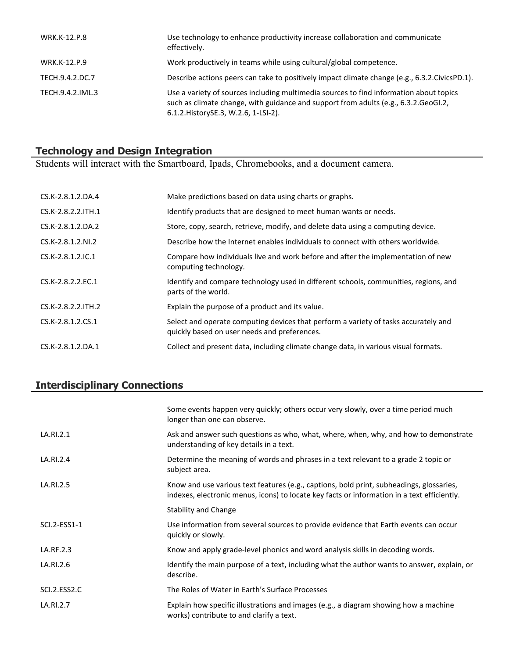| <b>WRK.K-12.P.8</b> | Use technology to enhance productivity increase collaboration and communicate<br>effectively.                                                                                                                           |
|---------------------|-------------------------------------------------------------------------------------------------------------------------------------------------------------------------------------------------------------------------|
| WRK.K-12.P.9        | Work productively in teams while using cultural/global competence.                                                                                                                                                      |
| TECH.9.4.2.DC.7     | Describe actions peers can take to positively impact climate change (e.g., 6.3.2. Civics PD.1).                                                                                                                         |
| TECH.9.4.2.IML.3    | Use a variety of sources including multimedia sources to find information about topics<br>such as climate change, with guidance and support from adults (e.g., 6.3.2. GeoGI.2,<br>6.1.2. History SE.3, W.2.6, 1-LSI-2). |

#### **Technology and Design Integration**

Students will interact with the Smartboard, Ipads, Chromebooks, and a document camera.

| CS.K-2.8.1.2.DA.4   | Make predictions based on data using charts or graphs.                                                                              |
|---------------------|-------------------------------------------------------------------------------------------------------------------------------------|
| CS.K-2.8.2.2. TH.1  | Identify products that are designed to meet human wants or needs.                                                                   |
| $CS.K-2.8.1.2.DA.2$ | Store, copy, search, retrieve, modify, and delete data using a computing device.                                                    |
| CS.K-2.8.1.2.NI.2   | Describe how the Internet enables individuals to connect with others worldwide.                                                     |
| $CS.K-2.8.1.2.1C.1$ | Compare how individuals live and work before and after the implementation of new<br>computing technology.                           |
| CS.K-2.8.2.2.EC.1   | Identify and compare technology used in different schools, communities, regions, and<br>parts of the world.                         |
| CS.K-2.8.2.2. TH.2  | Explain the purpose of a product and its value.                                                                                     |
| CS.K-2.8.1.2.CS.1   | Select and operate computing devices that perform a variety of tasks accurately and<br>quickly based on user needs and preferences. |
| CS.K-2.8.1.2.DA.1   | Collect and present data, including climate change data, in various visual formats.                                                 |

# **Interdisciplinary Connections**

|              | Some events happen very quickly; others occur very slowly, over a time period much<br>longer than one can observe.                                                                      |
|--------------|-----------------------------------------------------------------------------------------------------------------------------------------------------------------------------------------|
| LA.RI.2.1    | Ask and answer such questions as who, what, where, when, why, and how to demonstrate<br>understanding of key details in a text.                                                         |
| LA.RI.2.4    | Determine the meaning of words and phrases in a text relevant to a grade 2 topic or<br>subject area.                                                                                    |
| LA.RI.2.5    | Know and use various text features (e.g., captions, bold print, subheadings, glossaries,<br>indexes, electronic menus, icons) to locate key facts or information in a text efficiently. |
|              | <b>Stability and Change</b>                                                                                                                                                             |
| SCI.2-ESS1-1 | Use information from several sources to provide evidence that Earth events can occur<br>quickly or slowly.                                                                              |
| LA.RF.2.3    | Know and apply grade-level phonics and word analysis skills in decoding words.                                                                                                          |
| LA.RI.2.6    | Identify the main purpose of a text, including what the author wants to answer, explain, or<br>describe.                                                                                |
| SCI.2.ESS2.C | The Roles of Water in Earth's Surface Processes                                                                                                                                         |
| LA.RI.2.7    | Explain how specific illustrations and images (e.g., a diagram showing how a machine<br>works) contribute to and clarify a text.                                                        |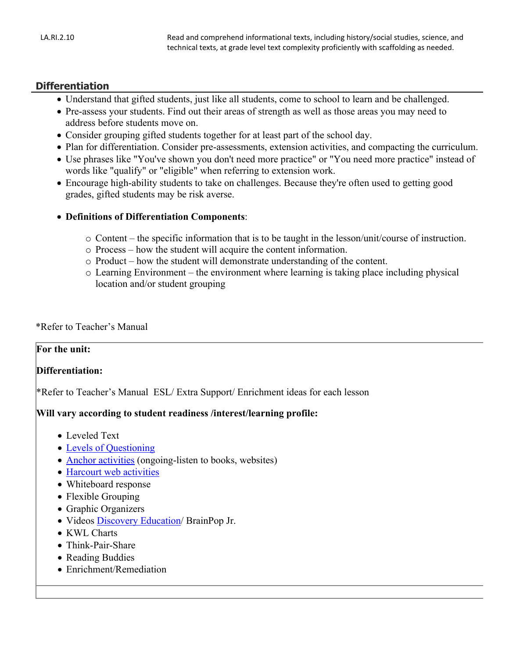#### **Differentiation**

- Understand that gifted students, just like all students, come to school to learn and be challenged.
- Pre-assess your students. Find out their areas of strength as well as those areas you may need to address before students move on.
- Consider grouping gifted students together for at least part of the school day.
- Plan for differentiation. Consider pre-assessments, extension activities, and compacting the curriculum.
- Use phrases like "You've shown you don't need more practice" or "You need more practice" instead of words like "qualify" or "eligible" when referring to extension work.
- Encourage high-ability students to take on challenges. Because they're often used to getting good grades, gifted students may be risk averse.
- **Definitions of Differentiation Components**:
	- o Content the specific information that is to be taught in the lesson/unit/course of instruction.
	- o Process how the student will acquire the content information.
	- o Product how the student will demonstrate understanding of the content.
	- o Learning Environment the environment where learning is taking place including physical location and/or student grouping

#### \*Refer to Teacher's Manual

#### **For the unit:**

#### **Differentiation:**

\*Refer to Teacher's Manual ESL/ Extra Support/ Enrichment ideas for each lesson

#### **Will vary according to student readiness /interest/learning profile:**

- Leveled Text
- [Levels of Questioning](http://www.bloomstaxonomy.org/Blooms%20Taxonomy%20questions.pdf)
- [Anchor activities](http://www.rec4.com/filestore/REC4_AnchorActivityPacket_080513.pdf) (ongoing-listen to books, websites)
- [Harcourt web activities](http://www.harcourtschool.com/ss1/)
- Whiteboard response
- Flexible Grouping
- Graphic Organizers
- Videos [Discovery Education/](http://www.discoveryeducation.com/) BrainPop Jr.
- KWL Charts
- Think-Pair-Share
- Reading Buddies
- Enrichment/Remediation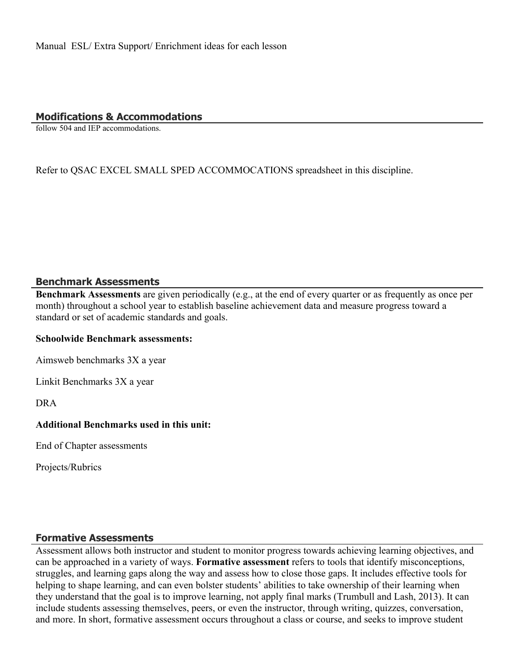#### **Modifications & Accommodations**

follow 504 and IEP accommodations.

Refer to QSAC EXCEL SMALL SPED ACCOMMOCATIONS spreadsheet in this discipline.

#### **Benchmark Assessments**

**Benchmark Assessments** are given periodically (e.g., at the end of every quarter or as frequently as once per month) throughout a school year to establish baseline achievement data and measure progress toward a standard or set of academic standards and goals.

#### **Schoolwide Benchmark assessments:**

Aimsweb benchmarks 3X a year

Linkit Benchmarks 3X a year

DRA

#### **Additional Benchmarks used in this unit:**

End of Chapter assessments

Projects/Rubrics

#### **Formative Assessments**

Assessment allows both instructor and student to monitor progress towards achieving learning objectives, and can be approached in a variety of ways. **Formative assessment** refers to tools that identify misconceptions, struggles, and learning gaps along the way and assess how to close those gaps. It includes effective tools for helping to shape learning, and can even bolster students' abilities to take ownership of their learning when they understand that the goal is to improve learning, not apply final marks (Trumbull and Lash, 2013). It can include students assessing themselves, peers, or even the instructor, through writing, quizzes, conversation, and more. In short, formative assessment occurs throughout a class or course, and seeks to improve student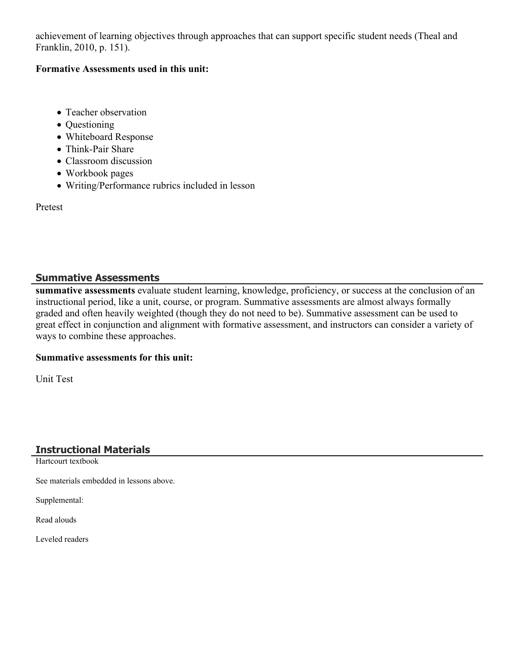achievement of learning objectives through approaches that can support specific student needs (Theal and Franklin, 2010, p. 151).

#### **Formative Assessments used in this unit:**

- Teacher observation
- Questioning
- Whiteboard Response
- Think-Pair Share
- Classroom discussion
- Workbook pages
- Writing/Performance rubrics included in lesson

Pretest

#### **Summative Assessments**

**summative assessments** evaluate student learning, knowledge, proficiency, or success at the conclusion of an instructional period, like a unit, course, or program. Summative assessments are almost always formally graded and often heavily weighted (though they do not need to be). Summative assessment can be used to great effect in conjunction and alignment with formative assessment, and instructors can consider a variety of ways to combine these approaches.

#### **Summative assessments for this unit:**

Unit Test

#### **Instructional Materials**

Hartcourt textbook

See materials embedded in lessons above.

Supplemental:

Read alouds

Leveled readers